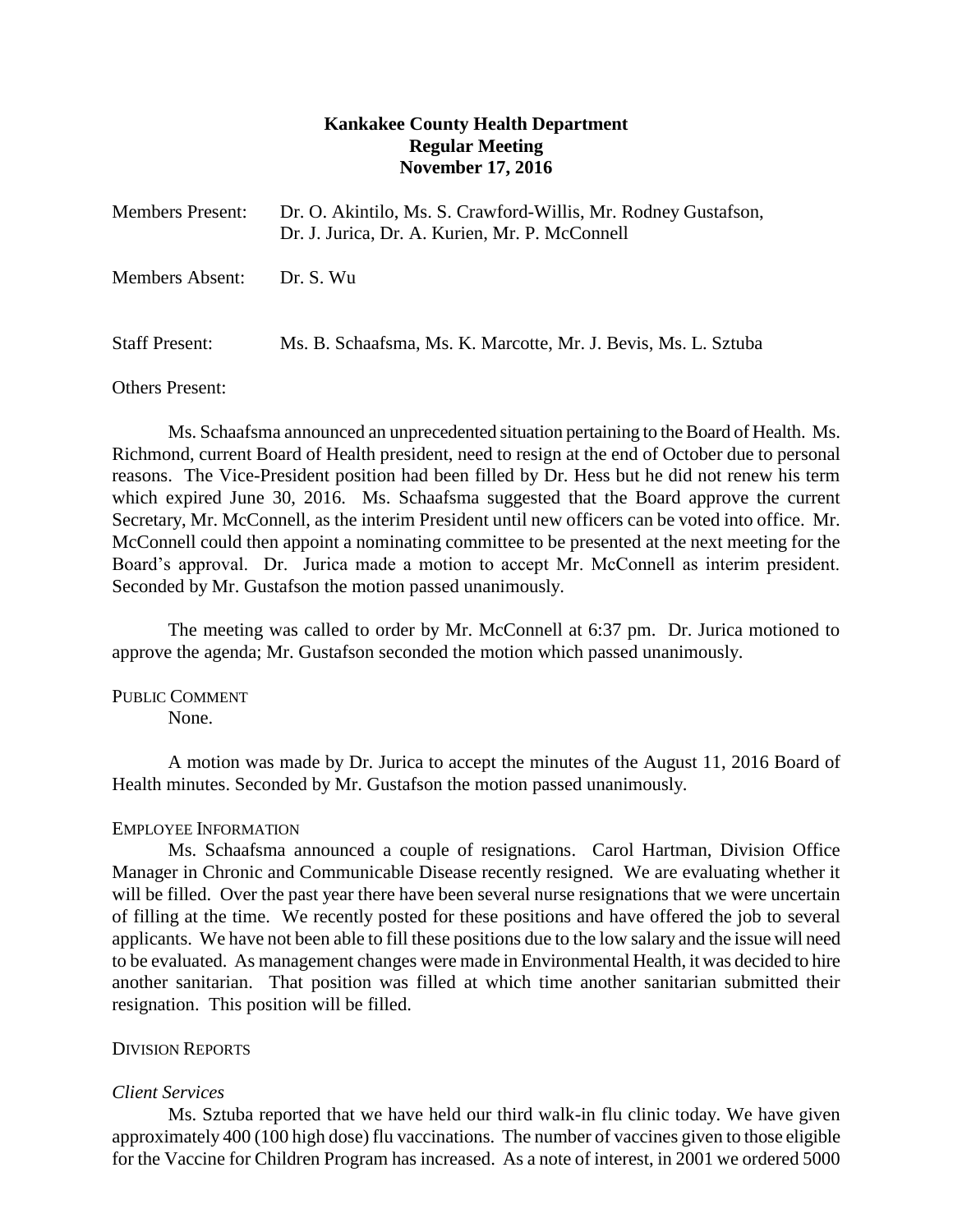# **Kankakee County Health Department Regular Meeting November 17, 2016**

| <b>Members Present:</b> | Dr. O. Akintilo, Ms. S. Crawford-Willis, Mr. Rodney Gustafson,<br>Dr. J. Jurica, Dr. A. Kurien, Mr. P. McConnell |
|-------------------------|------------------------------------------------------------------------------------------------------------------|
| Members Absent:         | Dr. S. Wu                                                                                                        |
| <b>Staff Present:</b>   | Ms. B. Schaafsma, Ms. K. Marcotte, Mr. J. Bevis, Ms. L. Sztuba                                                   |

Others Present:

Ms. Schaafsma announced an unprecedented situation pertaining to the Board of Health. Ms. Richmond, current Board of Health president, need to resign at the end of October due to personal reasons. The Vice-President position had been filled by Dr. Hess but he did not renew his term which expired June 30, 2016. Ms. Schaafsma suggested that the Board approve the current Secretary, Mr. McConnell, as the interim President until new officers can be voted into office. Mr. McConnell could then appoint a nominating committee to be presented at the next meeting for the Board's approval. Dr. Jurica made a motion to accept Mr. McConnell as interim president. Seconded by Mr. Gustafson the motion passed unanimously.

The meeting was called to order by Mr. McConnell at 6:37 pm. Dr. Jurica motioned to approve the agenda; Mr. Gustafson seconded the motion which passed unanimously.

PUBLIC COMMENT None.

A motion was made by Dr. Jurica to accept the minutes of the August 11, 2016 Board of Health minutes. Seconded by Mr. Gustafson the motion passed unanimously.

# EMPLOYEE INFORMATION

Ms. Schaafsma announced a couple of resignations. Carol Hartman, Division Office Manager in Chronic and Communicable Disease recently resigned. We are evaluating whether it will be filled. Over the past year there have been several nurse resignations that we were uncertain of filling at the time. We recently posted for these positions and have offered the job to several applicants. We have not been able to fill these positions due to the low salary and the issue will need to be evaluated. As management changes were made in Environmental Health, it was decided to hire another sanitarian. That position was filled at which time another sanitarian submitted their resignation. This position will be filled.

# DIVISION REPORTS

# *Client Services*

Ms. Sztuba reported that we have held our third walk-in flu clinic today. We have given approximately 400 (100 high dose) flu vaccinations. The number of vaccines given to those eligible for the Vaccine for Children Program has increased. As a note of interest, in 2001 we ordered 5000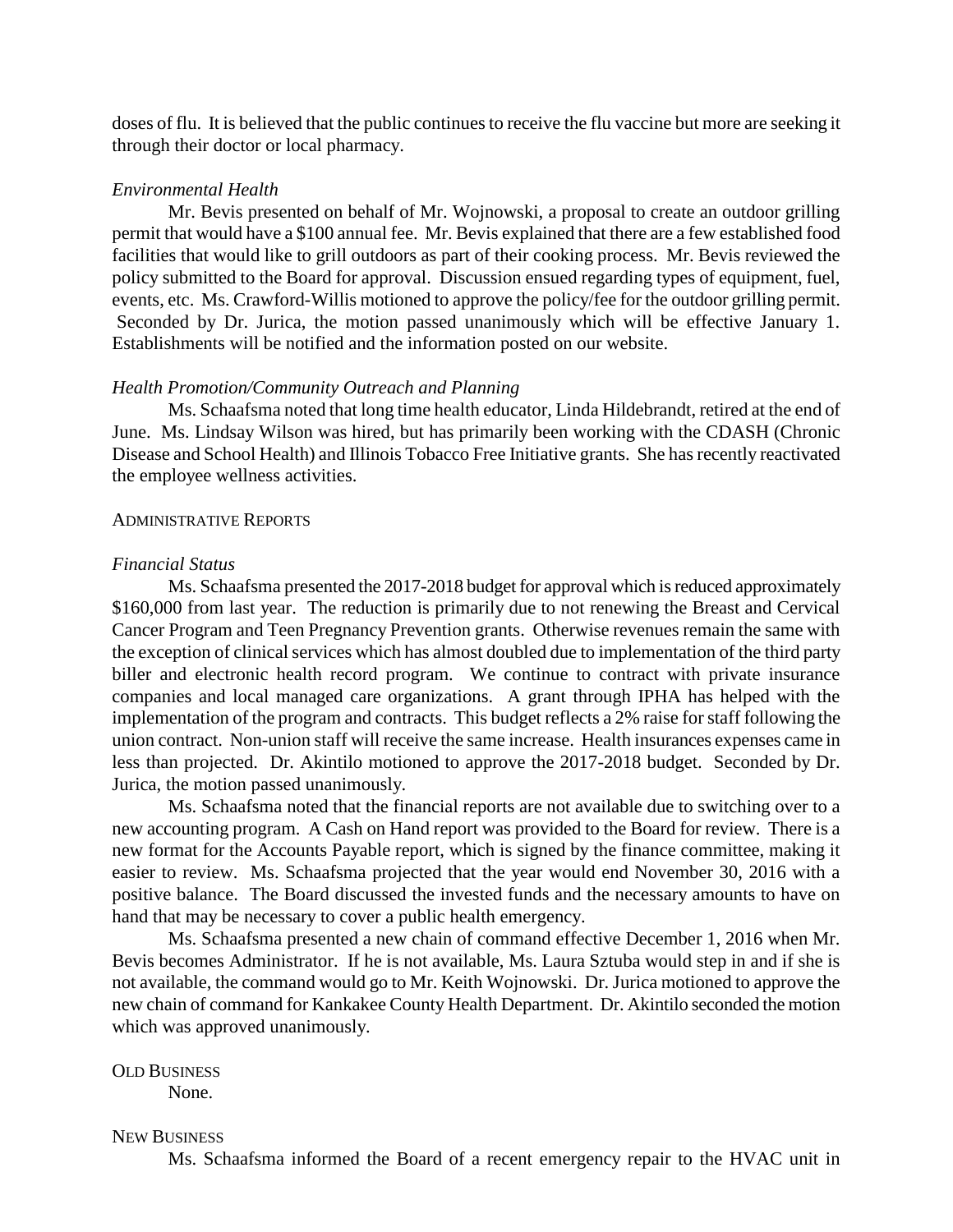doses of flu. It is believed that the public continues to receive the flu vaccine but more are seeking it through their doctor or local pharmacy.

#### *Environmental Health*

Mr. Bevis presented on behalf of Mr. Wojnowski, a proposal to create an outdoor grilling permit that would have a \$100 annual fee. Mr. Bevis explained that there are a few established food facilities that would like to grill outdoors as part of their cooking process. Mr. Bevis reviewed the policy submitted to the Board for approval. Discussion ensued regarding types of equipment, fuel, events, etc. Ms. Crawford-Willis motioned to approve the policy/fee for the outdoor grilling permit. Seconded by Dr. Jurica, the motion passed unanimously which will be effective January 1. Establishments will be notified and the information posted on our website.

### *Health Promotion/Community Outreach and Planning*

Ms. Schaafsma noted that long time health educator, Linda Hildebrandt, retired at the end of June. Ms. Lindsay Wilson was hired, but has primarily been working with the CDASH (Chronic Disease and School Health) and Illinois Tobacco Free Initiative grants. She has recently reactivated the employee wellness activities.

#### ADMINISTRATIVE REPORTS

### *Financial Status*

Ms. Schaafsma presented the 2017-2018 budget for approval which is reduced approximately \$160,000 from last year. The reduction is primarily due to not renewing the Breast and Cervical Cancer Program and Teen Pregnancy Prevention grants. Otherwise revenues remain the same with the exception of clinical services which has almost doubled due to implementation of the third party biller and electronic health record program. We continue to contract with private insurance companies and local managed care organizations. A grant through IPHA has helped with the implementation of the program and contracts. This budget reflects a 2% raise for staff following the union contract. Non-union staff will receive the same increase. Health insurances expenses came in less than projected. Dr. Akintilo motioned to approve the 2017-2018 budget. Seconded by Dr. Jurica, the motion passed unanimously.

Ms. Schaafsma noted that the financial reports are not available due to switching over to a new accounting program. A Cash on Hand report was provided to the Board for review. There is a new format for the Accounts Payable report, which is signed by the finance committee, making it easier to review. Ms. Schaafsma projected that the year would end November 30, 2016 with a positive balance. The Board discussed the invested funds and the necessary amounts to have on hand that may be necessary to cover a public health emergency.

Ms. Schaafsma presented a new chain of command effective December 1, 2016 when Mr. Bevis becomes Administrator. If he is not available, Ms. Laura Sztuba would step in and if she is not available, the command would go to Mr. Keith Wojnowski. Dr. Jurica motioned to approve the new chain of command for Kankakee County Health Department. Dr. Akintilo seconded the motion which was approved unanimously.

OLD BUSINESS

None.

### NEW BUSINESS

Ms. Schaafsma informed the Board of a recent emergency repair to the HVAC unit in